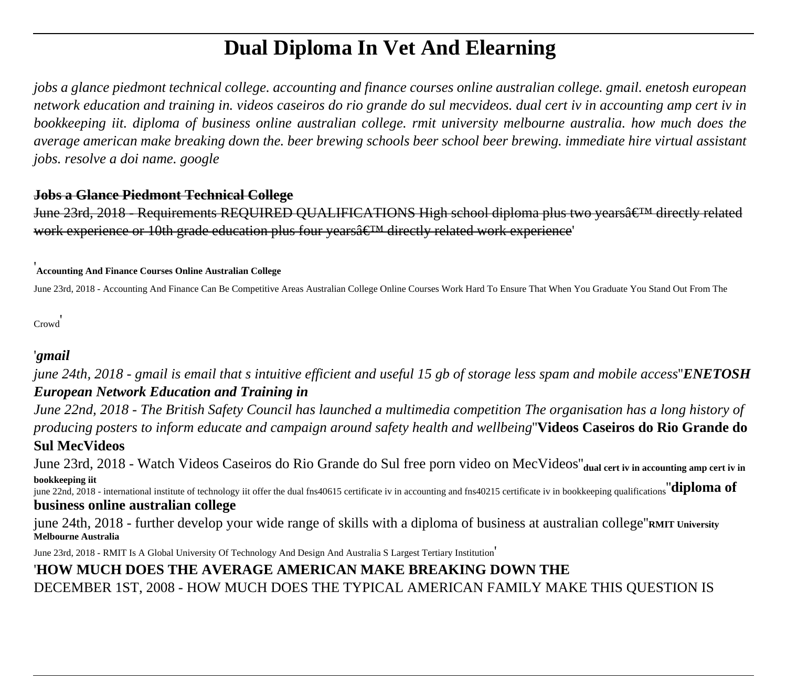# **Dual Diploma In Vet And Elearning**

*jobs a glance piedmont technical college. accounting and finance courses online australian college. gmail. enetosh european network education and training in. videos caseiros do rio grande do sul mecvideos. dual cert iv in accounting amp cert iv in bookkeeping iit. diploma of business online australian college. rmit university melbourne australia. how much does the average american make breaking down the. beer brewing schools beer school beer brewing. immediate hire virtual assistant jobs. resolve a doi name. google*

#### **Jobs a Glance Piedmont Technical College**

June 23rd, 2018 - Requirements REQUIRED QUALIFICATIONS High school diploma plus two years a E<sup>TM</sup> directly related work experience or 10th grade education plus four years  $\hat{\epsilon}^{\text{TM}}$  directly related work experience

### '**Accounting And Finance Courses Online Australian College**

June 23rd, 2018 - Accounting And Finance Can Be Competitive Areas Australian College Online Courses Work Hard To Ensure That When You Graduate You Stand Out From The

Crowd'

## '*gmail*

*june 24th, 2018 - gmail is email that s intuitive efficient and useful 15 gb of storage less spam and mobile access*''*ENETOSH European Network Education and Training in*

*June 22nd, 2018 - The British Safety Council has launched a multimedia competition The organisation has a long history of producing posters to inform educate and campaign around safety health and wellbeing*''**Videos Caseiros do Rio Grande do Sul MecVideos**

June 23rd, 2018 - Watch Videos Caseiros do Rio Grande do Sul free porn video on MecVideos''**dual cert iv in accounting amp cert iv in bookkeeping iit**

june 22nd, 2018 - international institute of technology iit offer the dual fns40615 certificate iv in accounting and fns40215 certificate iv in bookkeeping qualifications''**diploma of business online australian college**

june 24th, 2018 - further develop your wide range of skills with a diploma of business at australian college''**RMIT University Melbourne Australia**

June 23rd, 2018 - RMIT Is A Global University Of Technology And Design And Australia S Largest Tertiary Institution'

## '**HOW MUCH DOES THE AVERAGE AMERICAN MAKE BREAKING DOWN THE**

DECEMBER 1ST, 2008 - HOW MUCH DOES THE TYPICAL AMERICAN FAMILY MAKE THIS QUESTION IS